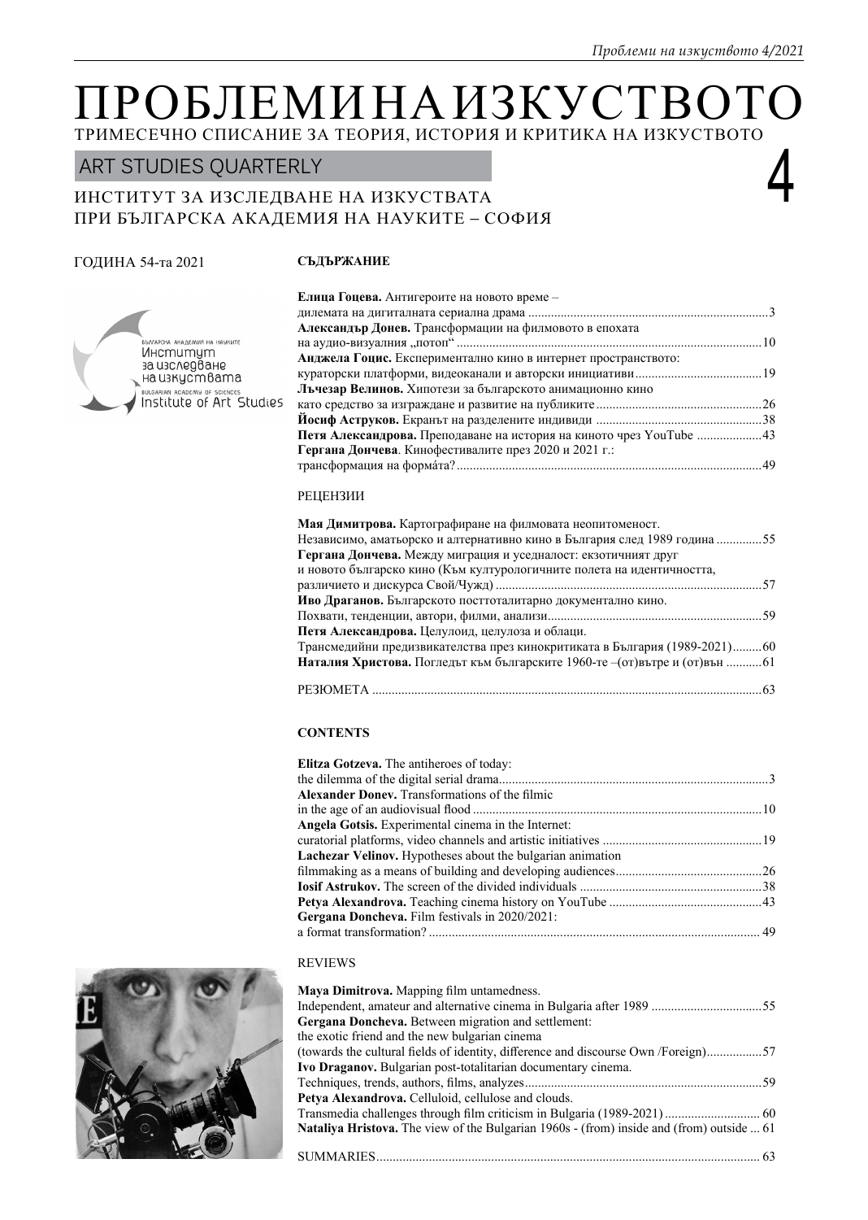# ІРОБЛЕМИНА ИЗКУС ТРИМЕСЕЧНО СПИСАНИЕ ЗА ТЕОРИЯ, ИСТОРИЯ И КРИТИКА НА ИЗКУСТВОТО

# ART STUDIES QUARTERLY<br>ИНСТИТУТ ЗА ИЗСЛЕДВАНЕ НА ИЗКУСТВАТА<br>HPLLFI HDLPGWA AMARINAWA WA WAWWITE GO AWA ПРИ БЪЛГАРСКА АКАДЕМИЯ НА НАУКИТЕ – СОФИЯ

# ГОДИНА 54-та 2021

# **СЪДЪРЖАНИЕ**



| Елица Гоцева. Антигероите на новото време -                                |  |
|----------------------------------------------------------------------------|--|
|                                                                            |  |
| Александър Донев. Трансформации на филмовото в епохата                     |  |
|                                                                            |  |
| Анджела Гоцис. Експериментално кино в интернет пространството:             |  |
|                                                                            |  |
| Льчезар Велинов. Хипотези за българското анимационно кино                  |  |
|                                                                            |  |
|                                                                            |  |
| <b>Петя Александрова.</b> Преподаване на история на киното чрез YouTube 43 |  |
| Гергана Дончева. Кинофестивалите през 2020 и 2021 г.:                      |  |
|                                                                            |  |

# РЕЦЕНЗИИ

| Мая Димитрова. Картографиране на филмовата неопитоменост.                          |
|------------------------------------------------------------------------------------|
| Независимо, аматьорско и алтернативно кино в България след 1989 година 55          |
| Гергана Дончева. Между миграция и уседналост: екзотичният друг                     |
| и новото българско кино (Към културологичните полета на идентичността,             |
|                                                                                    |
| Иво Драганов. Българското посттоталитарно документално кино.                       |
|                                                                                    |
| Петя Александрова. Целулоид, целулоза и облаци.                                    |
| Трансмедийни предизвикателства през кинокритиката в България (1989-2021)60         |
| <b>Наталия Христова.</b> Погледът към българските 1960-те - (от)вътре и (от)вън 61 |
|                                                                                    |

# **CONTENTS**

| <b>Elitza Gotzeva.</b> The antiheroes of today:                   |  |
|-------------------------------------------------------------------|--|
|                                                                   |  |
| <b>Alexander Doney.</b> Transformations of the filmic             |  |
|                                                                   |  |
| Angela Gotsis, Experimental cinema in the Internet:               |  |
|                                                                   |  |
| <b>Lachezar Velinov.</b> Hypotheses about the bulgarian animation |  |
|                                                                   |  |
|                                                                   |  |
|                                                                   |  |
| Gergana Doncheva. Film festivals in 2020/2021:                    |  |
|                                                                   |  |
|                                                                   |  |

# REVIEWS

| Maya Dimitrova. Mapping film untamedness.                                                 |
|-------------------------------------------------------------------------------------------|
|                                                                                           |
| Gergana Doncheva. Between migration and settlement:                                       |
| the exotic friend and the new bulgarian cinema                                            |
| (towards the cultural fields of identity, difference and discourse Own /Foreign)57        |
| Ivo Draganov. Bulgarian post-totalitarian documentary cinema.                             |
|                                                                                           |
| Petya Alexandrova. Celluloid, cellulose and clouds.                                       |
|                                                                                           |
| Nataliya Hristova. The view of the Bulgarian 1960s - (from) inside and (from) outside  61 |
|                                                                                           |

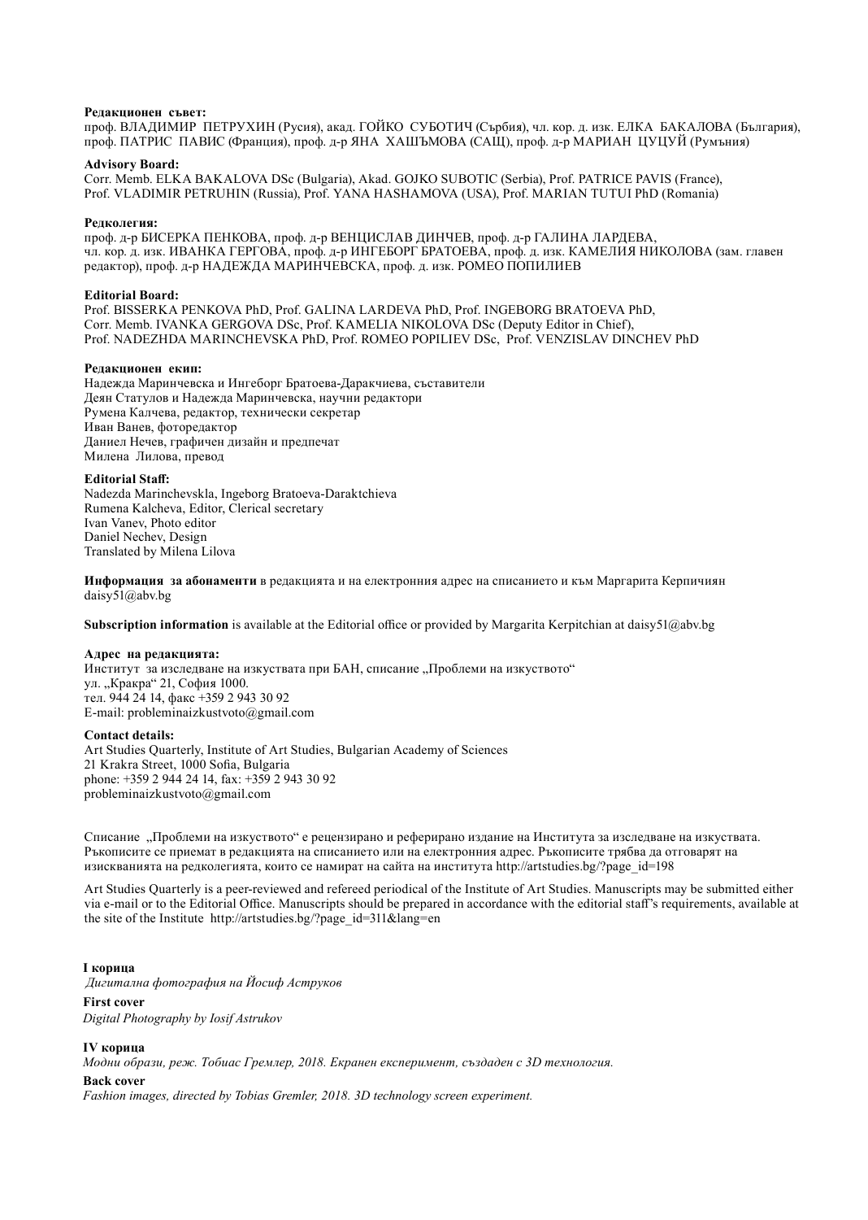#### **Редакционен съвет:**

проф. ВЛАДИМИР ПЕТРУХИН (Русия), акад. ГОЙКО СУБОТИЧ (Сърбия), чл. кор. д. изк. ЕЛКА БАКАЛОВА (България), проф. ПАТРИС ПАВИС (Франция), проф. д-р ЯНА ХАШЪМОВА (САЩ), проф. д-р МАРИАН ЦУЦУЙ (Румъния)

#### **Advisory Board:**

Corr. Memb. ELKA BAKALOVA DSc (Bulgaria), Akad. GOJKO SUBOTIC (Serbia), Prof. PATRICE PAVIS (France), Prof. VLADIMIR PETRUHIN (Russia), Prof. YANA HASHAMOVA (USA), Prof. MARIAN TUTUI PhD (Romania)

#### **Редколегия:**

проф. д-р БИСЕРКА ПЕНКОВА, проф. д-р ВЕНЦИСЛАВ ДИНЧЕВ, проф. д-р ГАЛИНА ЛАРДЕВА, чл. кор. д. изк. ИВАНКА ГЕРГОВА, проф. д-р ИНГЕБОРГ БРАТОЕВА, проф. д. изк. КАМЕЛИЯ НИКОЛОВА (зам. главен редактор), проф. д-р НАДЕЖДА МАРИНЧЕВСКА, проф. д. изк. РОМЕО ПОПИЛИЕВ

#### **Editorial Board:**

Prof. BISSERKA PENKOVA PhD, Prof. GALINA LARDEVA PhD, Prof. INGEBORG BRATOEVA PhD, Corr. Memb. IVANKA GERGOVA DSc, Prof. KAMELIA NIKOLOVA DSc (Deputy Editor in Chief), Prof. NADEZHDA MARINCHEVSKA PhD, Prof. ROMEO POPILIEV DSc, Prof. VENZISLAV DINCHEV PhD

#### **Редакционен екип:**

Надежда Маринчевска и Ингеборг Братоева-Даракчиева, съставители Деян Статулов и Надежда Маринчевска, научни редактори Румена Калчева, редактор, технически секретар Иван Ванев, фоторедактор Даниел Нечев, графичен дизайн и предпечат Милена Лилова, превод

#### **Editorial Staff:**

Nadezda Marinchevskla, Ingeborg Bratoeva-Daraktchieva Rumena Kalcheva, Editor, Clerical secretary Ivan Vanev, Photo editor Daniel Nechev, Design Translated by Milena Lilova

**Информация за абонаменти** в редакцията и на електронния адрес на списанието и към Маргарита Керпичиян daisy51@abv.bg

**Subscription information** is available at the Editorial office or provided by Margarita Kerpitchian at daisy51@abv.bg

#### **Адрес на редакцията:**

Институт за изследване на изкуствата при БАН, списание "Проблеми на изкуството" ул. "Кракра" 21, София 1000. тел. 944 24 14, факс +359 2 943 30 92 E-mail: probleminaizkustvoto@gmail.com

#### **Contact details:**

Art Studies Quarterly, Institute of Art Studies, Bulgarian Academy of Sciences 21 Krakra Street, 1000 Sofia, Bulgaria phone: +359 2 944 24 14, fax: +359 2 943 30 92 probleminaizkustvoto@gmail.com

Списание "Проблеми на изкуството" е рецензирано и реферирано издание на Института за изследване на изкуствата. Ръкописите се приемат в редакцията на списанието или на електронния адрес. Ръкописите трябва да отговарят на изискванията на редколегията, които се намират на сайта на института http://artstudies.bg/?page\_id=198

Art Studies Quarterly is a peer-reviewed and refereed periodical of the Institute of Art Studies. Manuscripts may be submitted either via e-mail or to the Editorial Office. Manuscripts should be prepared in accordance with the editorial staff's requirements, available at the site of the Institute http://artstudies.bg/?page\_id=311&lang=en

# **I корица**

 *Дигитална фотография на Йосиф Аструков*

### **First cover**

*Digital Photography by Iosif Astrukov*

#### **IV корица**

*Модни образи, реж. Тобиас Гремлер, 2018. Екранен експеримент, създаден с 3D технология.* 

#### **Back cover**

*Fashion images, directed by Tobias Gremler, 2018. 3D technology screen experiment.*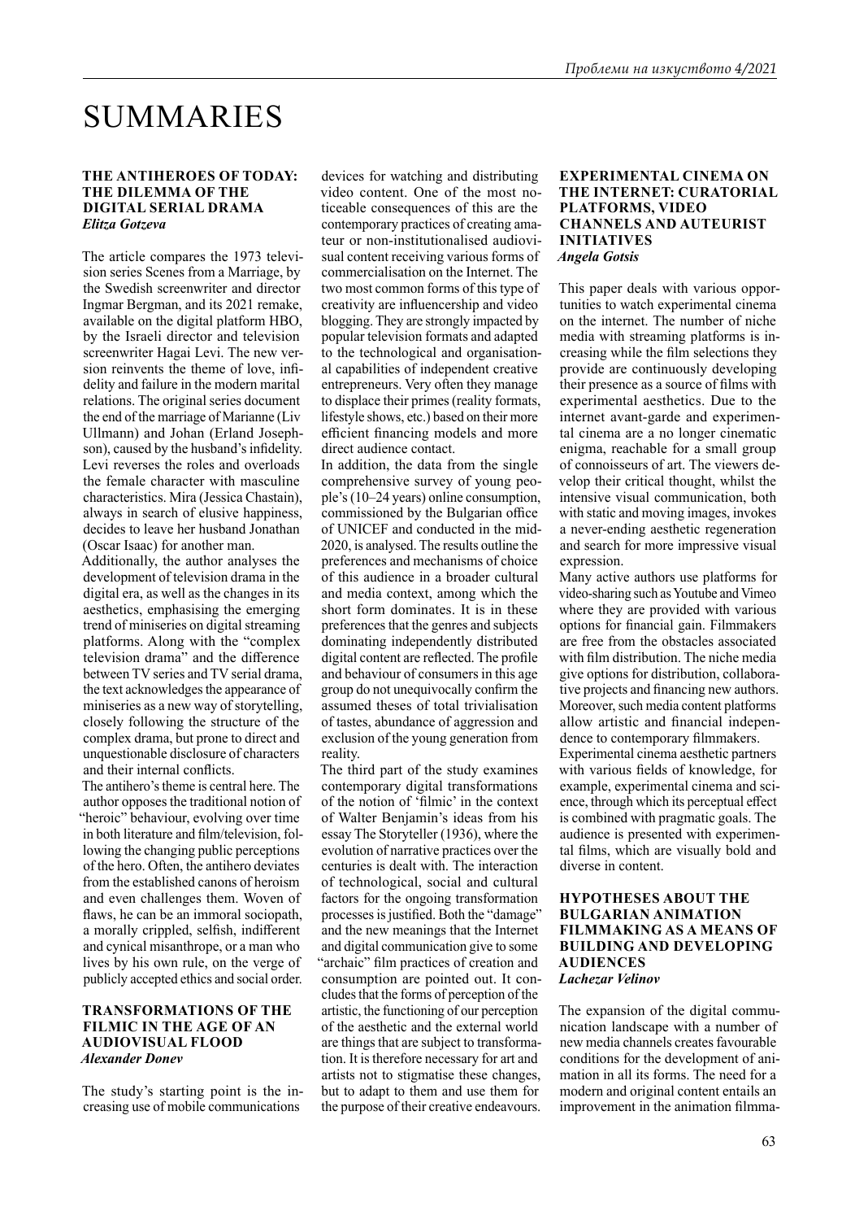# SUMMARIES

# **THE ANTIHEROES OF TODAY: THE DILEMMA OF THE DIGITAL SERIAL DRAMA** *Elitza Gotzeva*

The article compares the 1973 television series Scenes from a Marriage, by the Swedish screenwriter and director Ingmar Bergman, and its 2021 remake, available on the digital platform HBO, by the Israeli director and television screenwriter Hagai Levi. The new version reinvents the theme of love, infidelity and failure in the modern marital relations. The original series document the end of the marriage of Marianne (Liv Ullmann) and Johan (Erland Josephson), caused by the husband's infidelity. Levi reverses the roles and overloads the female character with masculine characteristics. Mira (Jessica Chastain), always in search of elusive happiness, decides to leave her husband Jonathan (Oscar Isaac) for another man.

Additionally, the author analyses the development of television drama in the digital era, as well as the changes in its aesthetics, emphasising the emerging trend of miniseries on digital streaming platforms. Along with the "complex television drama" and the difference between TV series and TV serial drama, the text acknowledges the appearance of miniseries as a new way of storytelling, closely following the structure of the complex drama, but prone to direct and unquestionable disclosure of characters and their internal conflicts.

The antihero's theme is central here. The author opposes the traditional notion of "heroic" behaviour, evolving over time in both literature and film/television, following the changing public perceptions of the hero. Often, the antihero deviates from the established canons of heroism and even challenges them. Woven of flaws, he can be an immoral sociopath, a morally crippled, selfish, indifferent and cynical misanthrope, or a man who lives by his own rule, on the verge of publicly accepted ethics and social order.

# **TRANSFORMATIONS OF THE FILMIC IN THE AGE OF AN AUDIOVISUAL FLOOD**  *Alexander Donev*

The study's starting point is the increasing use of mobile communications

devices for watching and distributing video content. One of the most noticeable consequences of this are the contemporary practices of creating amateur or non-institutionalised audiovisual content receiving various forms of commercialisation on the Internet. The two most common forms of this type of creativity are influencership and video blogging. They are strongly impacted by popular television formats and adapted to the technological and organisational capabilities of independent creative entrepreneurs. Very often they manage to displace their primes (reality formats, lifestyle shows, etc.) based on their more efficient financing models and more direct audience contact.

In addition, the data from the single comprehensive survey of young people's (10–24 years) online consumption, commissioned by the Bulgarian office of UNICEF and conducted in the mid-2020, is analysed. The results outline the preferences and mechanisms of choice of this audience in a broader cultural and media context, among which the short form dominates. It is in these preferences that the genres and subjects dominating independently distributed digital content are reflected. The profile and behaviour of consumers in this age group do not unequivocally confirm the assumed theses of total trivialisation of tastes, abundance of aggression and exclusion of the young generation from reality.

The third part of the study examines contemporary digital transformations of the notion of 'filmic' in the context of Walter Benjamin's ideas from his essay The Storyteller (1936), where the evolution of narrative practices over the centuries is dealt with. The interaction of technological, social and cultural factors for the ongoing transformation processes is justified. Both the "damage" and the new meanings that the Internet and digital communication give to some "archaic" film practices of creation and consumption are pointed out. It concludes that the forms of perception of the artistic, the functioning of our perception of the aesthetic and the external world are things that are subject to transformation. It is therefore necessary for art and artists not to stigmatise these changes, but to adapt to them and use them for the purpose of their creative endeavours.

### **EXPERIMENTAL CINEMA ON THE INTERNET: CURATORIAL PLATFORMS, VIDEO CHANNELS AND AUTEURIST INITIATIVES** *Angela Gotsis*

This paper deals with various opportunities to watch experimental cinema on the internet. The number of niche media with streaming platforms is increasing while the film selections they provide are continuously developing their presence as a source of films with experimental aesthetics. Due to the internet avant-garde and experimental cinema are a no longer cinematic enigma, reachable for a small group of connoisseurs of art. The viewers develop their critical thought, whilst the intensive visual communication, both with static and moving images, invokes a never-ending aesthetic regeneration and search for more impressive visual expression.

Many active authors use platforms for video-sharing such as Youtube and Vimeo where they are provided with various options for financial gain. Filmmakers are free from the obstacles associated with film distribution. The niche media give options for distribution, collaborative projects and financing new authors. Moreover, such media content platforms allow artistic and financial independence to contemporary filmmakers. Experimental cinema aesthetic partners with various fields of knowledge, for example, experimental cinema and science, through which its perceptual effect is combined with pragmatic goals. The audience is presented with experimental films, which are visually bold and diverse in content.

# **HYPOTHESES ABOUT THE BULGARIAN ANIMATION FILMMAKING AS A MEANS OF BUILDING AND DEVELOPING AUDIENCES** *Lachezar Velinov*

The expansion of the digital communication landscape with a number of new media channels creates favourable conditions for the development of animation in all its forms. The need for a modern and original content entails an improvement in the animation filmma-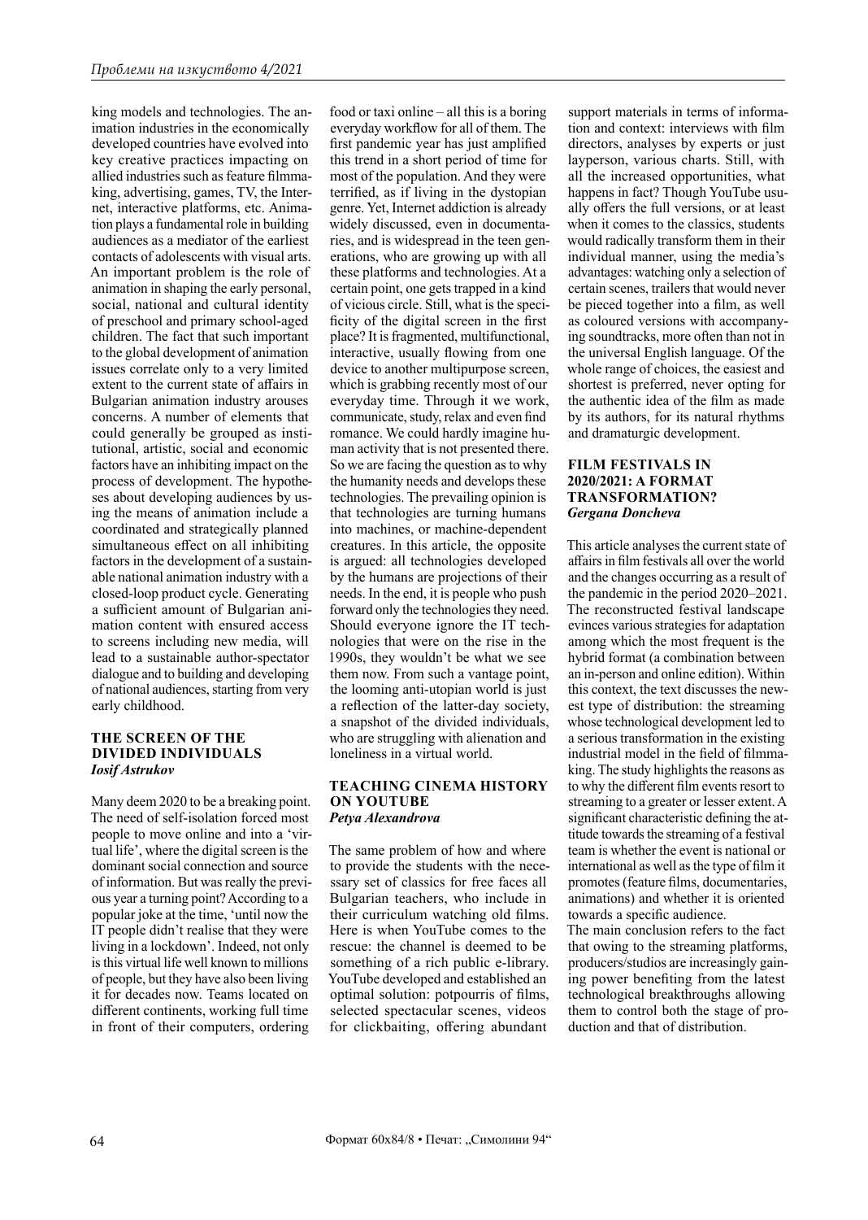king models and technologies. The animation industries in the economically developed countries have evolved into key creative practices impacting on allied industries such as feature filmmaking, advertising, games, TV, the Internet, interactive platforms, etc. Animation plays a fundamental role in building audiences as a mediator of the earliest contacts of adolescents with visual arts. An important problem is the role of animation in shaping the early personal, social, national and cultural identity of preschool and primary school-aged children. The fact that such important to the global development of animation issues correlate only to a very limited extent to the current state of affairs in Bulgarian animation industry arouses concerns. A number of elements that could generally be grouped as institutional, artistic, social and economic factors have an inhibiting impact on the process of development. The hypotheses about developing audiences by using the means of animation include a coordinated and strategically planned simultaneous effect on all inhibiting factors in the development of a sustainable national animation industry with a closed-loop product cycle. Generating a sufficient amount of Bulgarian animation content with ensured access to screens including new media, will lead to a sustainable author-spectator dialogue and to building and developing of national audiences, starting from very early childhood.

# **THE SCREEN OF THE DIVIDED INDIVIDUALS** *Iosif Astrukov*

Many deem 2020 to be a breaking point. The need of self-isolation forced most people to move online and into a 'virtual life', where the digital screen is the dominant social connection and source of information. But was really the previous year a turning point? According to a popular joke at the time, 'until now the IT people didn't realise that they were living in a lockdown'. Indeed, not only is this virtual life well known to millions of people, but they have also been living it for decades now. Teams located on different continents, working full time in front of their computers, ordering

food or taxi online – all this is a boring everyday workflow for all of them. The first pandemic year has just amplified this trend in a short period of time for most of the population. And they were terrified, as if living in the dystopian genre. Yet, Internet addiction is already widely discussed, even in documentaries, and is widespread in the teen generations, who are growing up with all these platforms and technologies. At a certain point, one gets trapped in a kind of vicious circle. Still, what is the specificity of the digital screen in the first place? It is fragmented, multifunctional, interactive, usually flowing from one device to another multipurpose screen, which is grabbing recently most of our everyday time. Through it we work, communicate, study, relax and even find romance. We could hardly imagine human activity that is not presented there. So we are facing the question as to why the humanity needs and develops these technologies. The prevailing opinion is that technologies are turning humans into machines, or machine-dependent creatures. In this article, the opposite is argued: all technologies developed by the humans are projections of their needs. In the end, it is people who push forward only the technologies they need. Should everyone ignore the IT technologies that were on the rise in the 1990s, they wouldn't be what we see them now. From such a vantage point, the looming anti-utopian world is just a reflection of the latter-day society, a snapshot of the divided individuals, who are struggling with alienation and loneliness in a virtual world.

### **TEACHING CINEMA HISTORY ON YOUTUBE**  *Petya Alexandrova*

The same problem of how and where to provide the students with the necessary set of classics for free faces all Bulgarian teachers, who include in their curriculum watching old films. Here is when YouTube comes to the rescue: the channel is deemed to be something of a rich public e-library. YouTube developed and established an optimal solution: potpourris of films, selected spectacular scenes, videos for clickbaiting, offering abundant

support materials in terms of information and context: interviews with film directors, analyses by experts or just layperson, various charts. Still, with all the increased opportunities, what happens in fact? Though YouTube usually offers the full versions, or at least when it comes to the classics, students would radically transform them in their individual manner, using the media's advantages: watching only a selection of certain scenes, trailers that would never be pieced together into a film, as well as coloured versions with accompanying soundtracks, more often than not in the universal English language. Of the whole range of choices, the easiest and shortest is preferred, never opting for the authentic idea of the film as made by its authors, for its natural rhythms and dramaturgic development.

# **FILM FESTIVALS IN 2020/2021: A FORMAT TRANSFORMATION?** *Gergana Doncheva*

This article analyses the current state of affairs in film festivals all over the world and the changes occurring as a result of the pandemic in the period 2020–2021. The reconstructed festival landscape evinces various strategies for adaptation among which the most frequent is the hybrid format (a combination between an in-person and online edition). Within this context, the text discusses the newest type of distribution: the streaming whose technological development led to a serious transformation in the existing industrial model in the field of filmmaking. The study highlights the reasons as to why the different film events resort to streaming to a greater or lesser extent. A significant characteristic defining the attitude towards the streaming of a festival team is whether the event is national or international as well as the type of film it promotes (feature films, documentaries, animations) and whether it is oriented towards a specific audience.

The main conclusion refers to the fact that owing to the streaming platforms, producers/studios are increasingly gaining power benefiting from the latest technological breakthroughs allowing them to control both the stage of production and that of distribution.